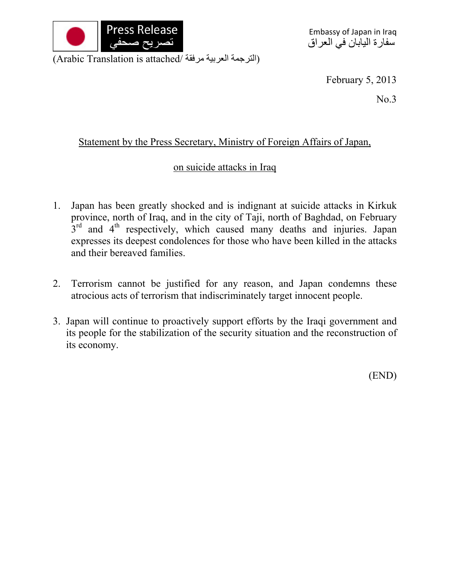

(Arabic Translation is attached/ الترجمة العربية مرفقة)

February 5, 2013

No.3

## Statement by the Press Secretary, Ministry of Foreign Affairs of Japan,

## on suicide attacks in Iraq

- 1. Japan has been greatly shocked and is indignant at suicide attacks in Kirkuk province, north of Iraq, and in the city of Taji, north of Baghdad, on February  $3<sup>rd</sup>$  and  $4<sup>th</sup>$  respectively, which caused many deaths and injuries. Japan expresses its deepest condolences for those who have been killed in the attacks and their bereaved families.
- 2. Terrorism cannot be justified for any reason, and Japan condemns these atrocious acts of terrorism that indiscriminately target innocent people.
- 3. Japan will continue to proactively support efforts by the Iraqi government and its people for the stabilization of the security situation and the reconstruction of its economy.

(END)